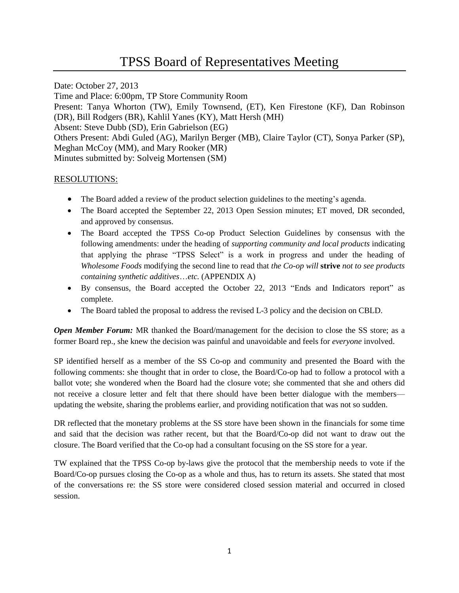# TPSS Board of Representatives Meeting

Date: October 27, 2013 Time and Place: 6:00pm, TP Store Community Room Present: Tanya Whorton (TW), Emily Townsend, (ET), Ken Firestone (KF), Dan Robinson (DR), Bill Rodgers (BR), Kahlil Yanes (KY), Matt Hersh (MH) Absent: Steve Dubb (SD), Erin Gabrielson (EG) Others Present: Abdi Guled (AG), Marilyn Berger (MB), Claire Taylor (CT), Sonya Parker (SP), Meghan McCoy (MM), and Mary Rooker (MR) Minutes submitted by: Solveig Mortensen (SM)

#### RESOLUTIONS:

- The Board added a review of the product selection guidelines to the meeting's agenda.
- The Board accepted the September 22, 2013 Open Session minutes; ET moved, DR seconded, and approved by consensus.
- The Board accepted the TPSS Co-op Product Selection Guidelines by consensus with the following amendments: under the heading of *supporting community and local products* indicating that applying the phrase "TPSS Select" is a work in progress and under the heading of *Wholesome Foods* modifying the second line to read that *the Co-op will* **strive** *not to see products containing synthetic additives*…*etc.* (APPENDIX A)
- By consensus, the Board accepted the October 22, 2013 "Ends and Indicators report" as complete.
- The Board tabled the proposal to address the revised L-3 policy and the decision on CBLD.

*Open Member Forum:* MR thanked the Board/management for the decision to close the SS store; as a former Board rep., she knew the decision was painful and unavoidable and feels for *everyone* involved.

SP identified herself as a member of the SS Co-op and community and presented the Board with the following comments: she thought that in order to close, the Board/Co-op had to follow a protocol with a ballot vote; she wondered when the Board had the closure vote; she commented that she and others did not receive a closure letter and felt that there should have been better dialogue with the members updating the website, sharing the problems earlier, and providing notification that was not so sudden.

DR reflected that the monetary problems at the SS store have been shown in the financials for some time and said that the decision was rather recent, but that the Board/Co-op did not want to draw out the closure. The Board verified that the Co-op had a consultant focusing on the SS store for a year.

TW explained that the TPSS Co-op by-laws give the protocol that the membership needs to vote if the Board/Co-op pursues closing the Co-op as a whole and thus, has to return its assets. She stated that most of the conversations re: the SS store were considered closed session material and occurred in closed session.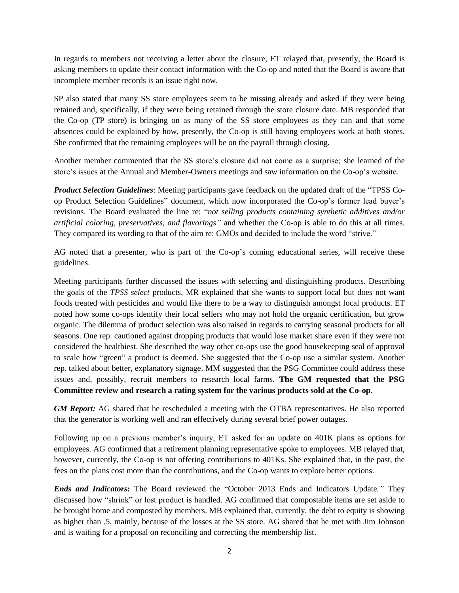In regards to members not receiving a letter about the closure, ET relayed that, presently, the Board is asking members to update their contact information with the Co-op and noted that the Board is aware that incomplete member records is an issue right now.

SP also stated that many SS store employees seem to be missing already and asked if they were being retained and, specifically, if they were being retained through the store closure date. MB responded that the Co-op (TP store) is bringing on as many of the SS store employees as they can and that some absences could be explained by how, presently, the Co-op is still having employees work at both stores. She confirmed that the remaining employees will be on the payroll through closing.

Another member commented that the SS store's closure did not come as a surprise; she learned of the store's issues at the Annual and Member-Owners meetings and saw information on the Co-op's website.

*Product Selection Guidelines*: Meeting participants gave feedback on the updated draft of the "TPSS Coop Product Selection Guidelines" document, which now incorporated the Co-op's former lead buyer's revisions. The Board evaluated the line re: "*not selling products containing synthetic additives and/or artificial coloring, preservatives, and flavorings"* and whether the Co-op is able to do this at all times. They compared its wording to that of the aim re: GMOs and decided to include the word "strive."

AG noted that a presenter, who is part of the Co-op's coming educational series, will receive these guidelines.

Meeting participants further discussed the issues with selecting and distinguishing products. Describing the goals of the *TPSS select* products, MR explained that she wants to support local but does not want foods treated with pesticides and would like there to be a way to distinguish amongst local products. ET noted how some co-ops identify their local sellers who may not hold the organic certification, but grow organic. The dilemma of product selection was also raised in regards to carrying seasonal products for all seasons. One rep. cautioned against dropping products that would lose market share even if they were not considered the healthiest. She described the way other co-ops use the good housekeeping seal of approval to scale how "green" a product is deemed. She suggested that the Co-op use a similar system. Another rep. talked about better, explanatory signage. MM suggested that the PSG Committee could address these issues and, possibly, recruit members to research local farms. **The GM requested that the PSG Committee review and research a rating system for the various products sold at the Co-op.**

*GM Report:* AG shared that he rescheduled a meeting with the OTBA representatives. He also reported that the generator is working well and ran effectively during several brief power outages.

Following up on a previous member's inquiry, ET asked for an update on 401K plans as options for employees. AG confirmed that a retirement planning representative spoke to employees. MB relayed that, however, currently, the Co-op is not offering contributions to 401Ks. She explained that, in the past, the fees on the plans cost more than the contributions, and the Co-op wants to explore better options.

*Ends and Indicators:* The Board reviewed the "October 2013 Ends and Indicators Update*."* They discussed how "shrink" or lost product is handled. AG confirmed that compostable items are set aside to be brought home and composted by members. MB explained that, currently, the debt to equity is showing as higher than .5, mainly, because of the losses at the SS store. AG shared that he met with Jim Johnson and is waiting for a proposal on reconciling and correcting the membership list.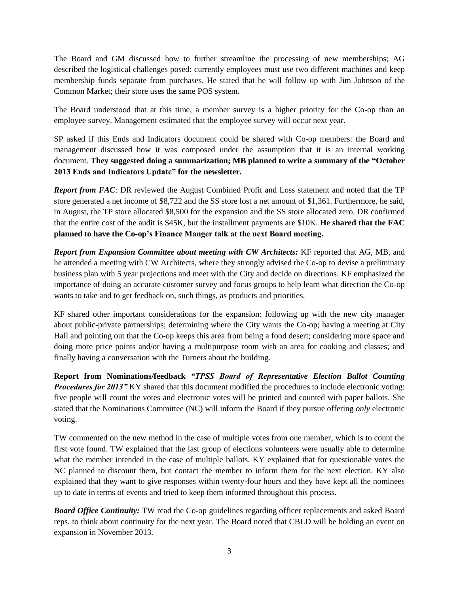The Board and GM discussed how to further streamline the processing of new memberships; AG described the logistical challenges posed: currently employees must use two different machines and keep membership funds separate from purchases. He stated that he will follow up with Jim Johnson of the Common Market; their store uses the same POS system.

The Board understood that at this time, a member survey is a higher priority for the Co-op than an employee survey. Management estimated that the employee survey will occur next year.

SP asked if this Ends and Indicators document could be shared with Co-op members: the Board and management discussed how it was composed under the assumption that it is an internal working document. **They suggested doing a summarization; MB planned to write a summary of the "October 2013 Ends and Indicators Update" for the newsletter.**

*Report from FAC*: DR reviewed the August Combined Profit and Loss statement and noted that the TP store generated a net income of \$8,722 and the SS store lost a net amount of \$1,361. Furthermore, he said, in August, the TP store allocated \$8,500 for the expansion and the SS store allocated zero. DR confirmed that the entire cost of the audit is \$45K, but the installment payments are \$10K. **He shared that the FAC planned to have the Co-op's Finance Manger talk at the next Board meeting.**

*Report from Expansion Committee about meeting with CW Architects:* KF reported that AG, MB, and he attended a meeting with CW Architects, where they strongly advised the Co-op to devise a preliminary business plan with 5 year projections and meet with the City and decide on directions. KF emphasized the importance of doing an accurate customer survey and focus groups to help learn what direction the Co-op wants to take and to get feedback on, such things, as products and priorities.

KF shared other important considerations for the expansion: following up with the new city manager about public-private partnerships; determining where the City wants the Co-op; having a meeting at City Hall and pointing out that the Co-op keeps this area from being a food desert; considering more space and doing more price points and/or having a multipurpose room with an area for cooking and classes; and finally having a conversation with the Turners about the building.

**Report from Nominations/feedback** *"TPSS Board of Representative Election Ballot Counting Procedures for 2013"* KY shared that this document modified the procedures to include electronic voting: five people will count the votes and electronic votes will be printed and counted with paper ballots. She stated that the Nominations Committee (NC) will inform the Board if they pursue offering *only* electronic voting.

TW commented on the new method in the case of multiple votes from one member, which is to count the first vote found. TW explained that the last group of elections volunteers were usually able to determine what the member intended in the case of multiple ballots. KY explained that for questionable votes the NC planned to discount them, but contact the member to inform them for the next election. KY also explained that they want to give responses within twenty-four hours and they have kept all the nominees up to date in terms of events and tried to keep them informed throughout this process.

*Board Office Continuity:* TW read the Co-op guidelines regarding officer replacements and asked Board reps. to think about continuity for the next year. The Board noted that CBLD will be holding an event on expansion in November 2013.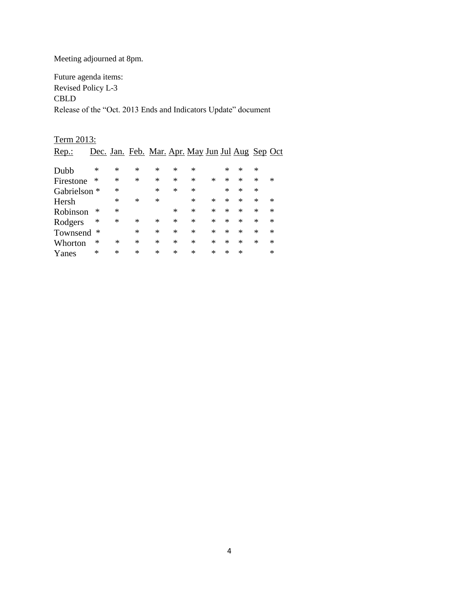Meeting adjourned at 8pm.

Future agenda items: Revised Policy L-3 CBLD Release of the "Oct. 2013 Ends and Indicators Update" document

| Term 2013:              |        |        |        |                                                  |        |   |        |        |        |   |        |
|-------------------------|--------|--------|--------|--------------------------------------------------|--------|---|--------|--------|--------|---|--------|
| Rep.                    |        |        |        | Dec. Jan. Feb. Mar. Apr. May Jun Jul Aug Sep Oct |        |   |        |        |        |   |        |
| Dubb                    | ∗      | ∗      | ∗      | ∗                                                | ∗      | ∗ |        | *      | *      | ∗ |        |
| Firestone               | ∗      | $\ast$ | $\ast$ | $\ast$                                           | $\ast$ | ∗ | ∗      | $\ast$ | $\ast$ | ∗ | $\ast$ |
| Gabrielson <sup>*</sup> |        | ∗      |        | $\ast$                                           | $\ast$ | ∗ |        | $\ast$ | $\ast$ | ∗ |        |
| Hersh                   |        | $\ast$ | $\ast$ | $\ast$                                           |        | ∗ | *      | $\ast$ | $\ast$ | ∗ | $\ast$ |
| Robinson                | ∗      | $\ast$ |        |                                                  | $\ast$ | ∗ | $\ast$ | $\ast$ | *      | ∗ | $\ast$ |
| Rodgers                 | $\ast$ | $\ast$ | $\ast$ | $\ast$                                           | $\ast$ | ∗ | $\ast$ | $\ast$ | $\ast$ | ∗ | $\ast$ |
| Townsend                | ∗      |        | ∗      | $\ast$                                           | $\ast$ | ∗ | *      | $\ast$ | $\ast$ | ∗ | *      |
| Whorton                 | ∗      | ∗      | ∗      | $\ast$                                           | $\ast$ | ∗ | *      | *      | *      | * | ∗      |
| Yanes                   | ∗      | $\ast$ | ∗      | $\ast$                                           | $\ast$ | ∗ | *      | ∗      | ∗      |   | ∗      |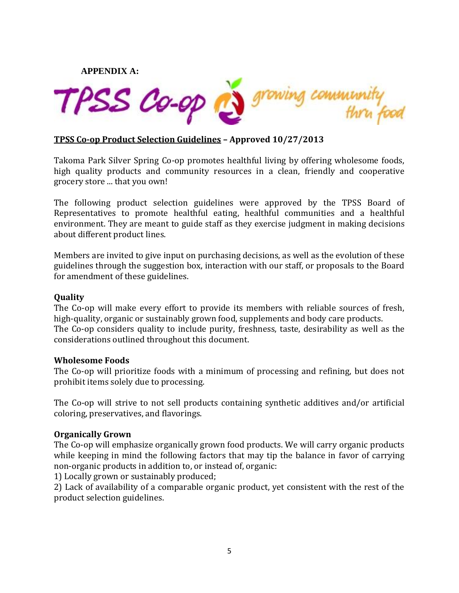**APPENDIX A:** 



## **TPSS Co-op Product Selection Guidelines – Approved 10/27/2013**

Takoma Park Silver Spring Co-op promotes healthful living by offering wholesome foods, high quality products and community resources in a clean, friendly and cooperative grocery store ... that you own!

The following product selection guidelines were approved by the TPSS Board of Representatives to promote healthful eating, healthful communities and a healthful environment. They are meant to guide staff as they exercise judgment in making decisions about different product lines.

Members are invited to give input on purchasing decisions, as well as the evolution of these guidelines through the suggestion box, interaction with our staff, or proposals to the Board for amendment of these guidelines.

#### **Quality**

The Co-op will make every effort to provide its members with reliable sources of fresh, high-quality, organic or sustainably grown food, supplements and body care products. The Co-op considers quality to include purity, freshness, taste, desirability as well as the considerations outlined throughout this document.

#### **Wholesome Foods**

The Co-op will prioritize foods with a minimum of processing and refining, but does not prohibit items solely due to processing.

The Co-op will strive to not sell products containing synthetic additives and/or artificial coloring, preservatives, and flavorings.

#### **Organically Grown**

The Co-op will emphasize organically grown food products. We will carry organic products while keeping in mind the following factors that may tip the balance in favor of carrying non-organic products in addition to, or instead of, organic:

1) Locally grown or sustainably produced;

2) Lack of availability of a comparable organic product, yet consistent with the rest of the product selection guidelines.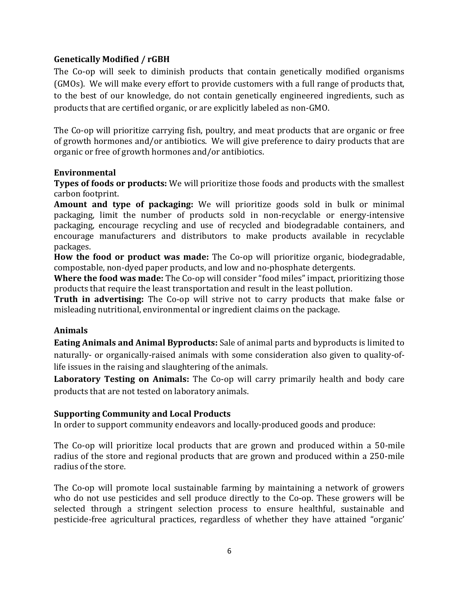## **Genetically Modified / rGBH**

The Co-op will seek to diminish products that contain genetically modified organisms (GMOs). We will make every effort to provide customers with a full range of products that, to the best of our knowledge, do not contain genetically engineered ingredients, such as products that are certified organic, or are explicitly labeled as non-GMO.

The Co-op will prioritize carrying fish, poultry, and meat products that are organic or free of growth hormones and/or antibiotics. We will give preference to dairy products that are organic or free of growth hormones and/or antibiotics.

## **Environmental**

**Types of foods or products:** We will prioritize those foods and products with the smallest carbon footprint.

**Amount and type of packaging:** We will prioritize goods sold in bulk or minimal packaging, limit the number of products sold in non-recyclable or energy-intensive packaging, encourage recycling and use of recycled and biodegradable containers, and encourage manufacturers and distributors to make products available in recyclable packages.

**How the food or product was made:** The Co-op will prioritize organic, biodegradable, compostable, non-dyed paper products, and low and no-phosphate detergents.

**Where the food was made:** The Co-op will consider "food miles" impact, prioritizing those products that require the least transportation and result in the least pollution.

**Truth in advertising:** The Co-op will strive not to carry products that make false or misleading nutritional, environmental or ingredient claims on the package.

## **Animals**

**Eating Animals and Animal Byproducts:** Sale of animal parts and byproducts is limited to naturally- or organically-raised animals with some consideration also given to quality-oflife issues in the raising and slaughtering of the animals.

**Laboratory Testing on Animals:** The Co-op will carry primarily health and body care products that are not tested on laboratory animals.

## **Supporting Community and Local Products**

In order to support community endeavors and locally-produced goods and produce:

The Co-op will prioritize local products that are grown and produced within a 50-mile radius of the store and regional products that are grown and produced within a 250-mile radius of the store.

The Co-op will promote local sustainable farming by maintaining a network of growers who do not use pesticides and sell produce directly to the Co-op. These growers will be selected through a stringent selection process to ensure healthful, sustainable and pesticide-free agricultural practices, regardless of whether they have attained "organic'